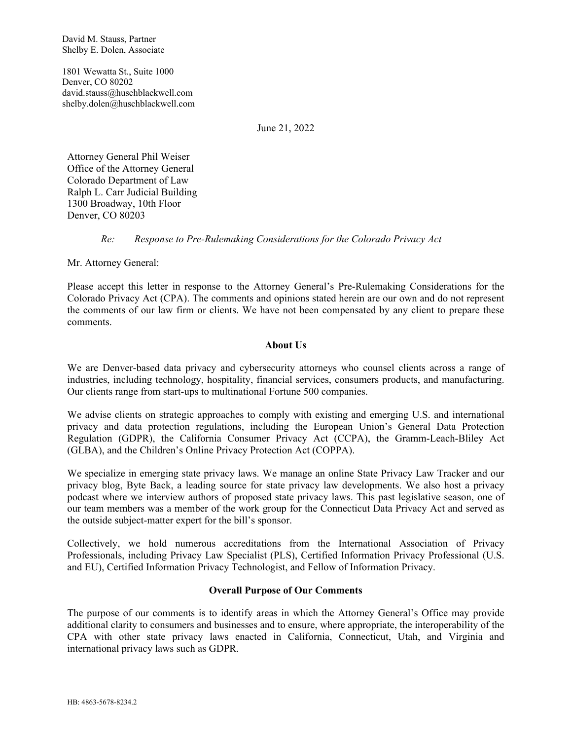David M. Stauss, Partner Shelby E. Dolen, Associate

1801 Wewatta St., Suite 1000 Denver, CO 80202 david.stauss@huschblackwell.com shelby.dolen@huschblackwell.com

June 21, 2022

Attorney General Phil Weiser Office of the Attorney General Colorado Department of Law Ralph L. Carr Judicial Building 1300 Broadway, 10th Floor Denver, CO 80203

### *Re: Response to Pre-Rulemaking Considerations for the Colorado Privacy Act*

Mr. Attorney General:

Please accept this letter in response to the Attorney General's Pre-Rulemaking Considerations for the Colorado Privacy Act (CPA). The comments and opinions stated herein are our own and do not represent the comments of our law firm or clients. We have not been compensated by any client to prepare these comments.

### **About Us**

We are Denver-based data privacy and cybersecurity attorneys who counsel clients across a range of industries, including technology, hospitality, financial services, consumers products, and manufacturing. Our clients range from start-ups to multinational Fortune 500 companies.

We advise clients on strategic approaches to comply with existing and emerging U.S. and international privacy and data protection regulations, including the European Union's General Data Protection Regulation (GDPR), the California Consumer Privacy Act (CCPA), the Gramm-Leach-Bliley Act (GLBA), and the Children's Online Privacy Protection Act (COPPA).

We specialize in emerging state privacy laws. We manage an online State Privacy Law Tracker and our privacy blog, Byte Back, a leading source for state privacy law developments. We also host a privacy podcast where we interview authors of proposed state privacy laws. This past legislative season, one of our team members was a member of the work group for the Connecticut Data Privacy Act and served as the outside subject-matter expert for the bill's sponsor.

Collectively, we hold numerous accreditations from the International Association of Privacy Professionals, including Privacy Law Specialist (PLS), Certified Information Privacy Professional (U.S. and EU), Certified Information Privacy Technologist, and Fellow of Information Privacy.

### **Overall Purpose of Our Comments**

The purpose of our comments is to identify areas in which the Attorney General's Office may provide additional clarity to consumers and businesses and to ensure, where appropriate, the interoperability of the CPA with other state privacy laws enacted in California, Connecticut, Utah, and Virginia and international privacy laws such as GDPR.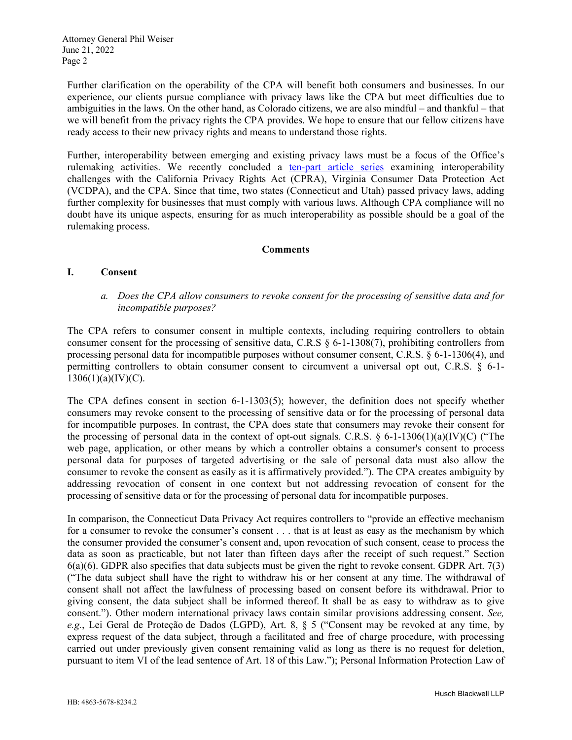Further clarification on the operability of the CPA will benefit both consumers and businesses. In our experience, our clients pursue compliance with privacy laws like the CPA but meet difficulties due to ambiguities in the laws. On the other hand, as Colorado citizens, we are also mindful – and thankful – that we will benefit from the privacy rights the CPA provides. We hope to ensure that our fellow citizens have ready access to their new privacy rights and means to understand those rights.

Further, interoperability between emerging and existing privacy laws must be a focus of the Office's rulemaking activities. We recently concluded a ten-part article series examining interoperability challenges with the California Privacy Rights Act (CPRA), Virginia Consumer Data Protection Act (VCDPA), and the CPA. Since that time, two states (Connecticut and Utah) passed privacy laws, adding further complexity for businesses that must comply with various laws. Although CPA compliance will no doubt have its unique aspects, ensuring for as much interoperability as possible should be a goal of the rulemaking process.

### **Comments**

### **I. Consent**

### *a. Does the CPA allow consumers to revoke consent for the processing of sensitive data and for incompatible purposes?*

The CPA refers to consumer consent in multiple contexts, including requiring controllers to obtain consumer consent for the processing of sensitive data, C.R.S  $\S$  6-1-1308(7), prohibiting controllers from processing personal data for incompatible purposes without consumer consent, C.R.S. § 6-1-1306(4), and permitting controllers to obtain consumer consent to circumvent a universal opt out, C.R.S. § 6-1-  $1306(1)(a)(IV)(C)$ .

The CPA defines consent in section 6-1-1303(5); however, the definition does not specify whether consumers may revoke consent to the processing of sensitive data or for the processing of personal data for incompatible purposes. In contrast, the CPA does state that consumers may revoke their consent for the processing of personal data in the context of opt-out signals. C.R.S.  $\S$  6-1-1306(1)(a)(IV)(C) ("The web page, application, or other means by which a controller obtains a consumer's consent to process personal data for purposes of targeted advertising or the sale of personal data must also allow the consumer to revoke the consent as easily as it is affirmatively provided."). The CPA creates ambiguity by addressing revocation of consent in one context but not addressing revocation of consent for the processing of sensitive data or for the processing of personal data for incompatible purposes.

In comparison, the Connecticut Data Privacy Act requires controllers to "provide an effective mechanism for a consumer to revoke the consumer's consent . . . that is at least as easy as the mechanism by which the consumer provided the consumer's consent and, upon revocation of such consent, cease to process the data as soon as practicable, but not later than fifteen days after the receipt of such request." Section 6(a)(6). GDPR also specifies that data subjects must be given the right to revoke consent. GDPR Art. 7(3) ("The data subject shall have the right to withdraw his or her consent at any time. The withdrawal of consent shall not affect the lawfulness of processing based on consent before its withdrawal. Prior to giving consent, the data subject shall be informed thereof. It shall be as easy to withdraw as to give consent."). Other modern international privacy laws contain similar provisions addressing consent. *See, e.g.*, Lei Geral de Proteção de Dados (LGPD), Art. 8, § 5 ("Consent may be revoked at any time, by express request of the data subject, through a facilitated and free of charge procedure, with processing carried out under previously given consent remaining valid as long as there is no request for deletion, pursuant to item VI of the lead sentence of Art. 18 of this Law."); Personal Information Protection Law of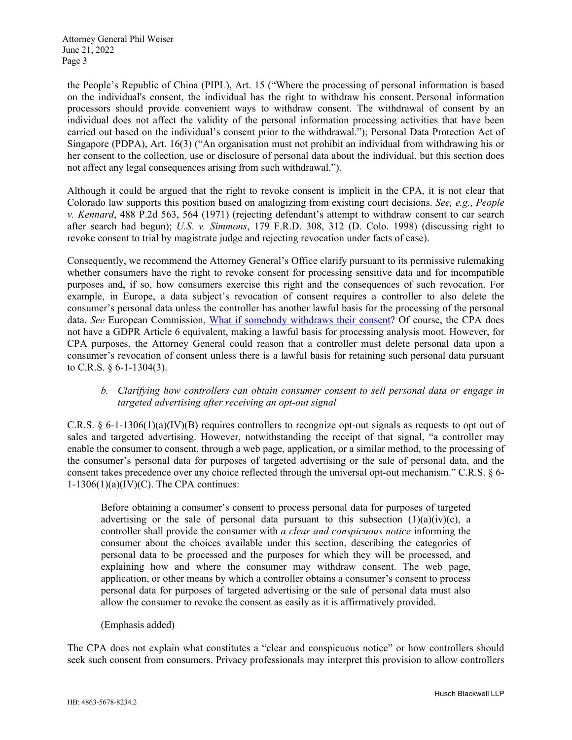the People's Republic of China (PIPL), Art. 15 ("Where the processing of personal information is based on the individual's consent, the individual has the right to withdraw his consent. Personal information processors should provide convenient ways to withdraw consent. The withdrawal of consent by an individual does not affect the validity of the personal information processing activities that have been carried out based on the individual's consent prior to the withdrawal."); Personal Data Protection Act of Singapore (PDPA), Art. 16(3) ("An organisation must not prohibit an individual from withdrawing his or her consent to the collection, use or disclosure of personal data about the individual, but this section does not affect any legal consequences arising from such withdrawal.").

Although it could be argued that the right to revoke consent is implicit in the CPA, it is not clear that Colorado law supports this position based on analogizing from existing court decisions. *See, e.g.*, *People v. Kennard*, 488 P.2d 563, 564 (1971) (rejecting defendant's attempt to withdraw consent to car search after search had begun); *U.S. v. Simmons*, 179 F.R.D. 308, 312 (D. Colo. 1998) (discussing right to revoke consent to trial by magistrate judge and rejecting revocation under facts of case).

Consequently, we recommend the Attorney General's Office clarify pursuant to its permissive rulemaking whether consumers have the right to revoke consent for processing sensitive data and for incompatible purposes and, if so, how consumers exercise this right and the consequences of such revocation. For example, in Europe, a data subject's revocation of consent requires a controller to also delete the consumer's personal data unless the controller has another lawful basis for the processing of the personal data. *See* European Commission, What if somebody withdraws their consent? Of course, the CPA does not have a GDPR Article 6 equivalent, making a lawful basis for processing analysis moot. However, for CPA purposes, the Attorney General could reason that a controller must delete personal data upon a consumer's revocation of consent unless there is a lawful basis for retaining such personal data pursuant to C.R.S. § 6-1-1304(3).

### *b. Clarifying how controllers can obtain consumer consent to sell personal data or engage in targeted advertising after receiving an opt-out signal*

C.R.S. § 6-1-1306(1)(a)(IV)(B) requires controllers to recognize opt-out signals as requests to opt out of sales and targeted advertising. However, notwithstanding the receipt of that signal, "a controller may enable the consumer to consent, through a web page, application, or a similar method, to the processing of the consumer's personal data for purposes of targeted advertising or the sale of personal data, and the consent takes precedence over any choice reflected through the universal opt-out mechanism." C.R.S. § 6-  $1-1306(1)(a)(IV)(C)$ . The CPA continues:

Before obtaining a consumer's consent to process personal data for purposes of targeted advertising or the sale of personal data pursuant to this subsection  $(1)(a)(iv)(c)$ , a controller shall provide the consumer with *a clear and conspicuous notice* informing the consumer about the choices available under this section, describing the categories of personal data to be processed and the purposes for which they will be processed, and explaining how and where the consumer may withdraw consent. The web page, application, or other means by which a controller obtains a consumer's consent to process personal data for purposes of targeted advertising or the sale of personal data must also allow the consumer to revoke the consent as easily as it is affirmatively provided.

### (Emphasis added)

The CPA does not explain what constitutes a "clear and conspicuous notice" or how controllers should seek such consent from consumers. Privacy professionals may interpret this provision to allow controllers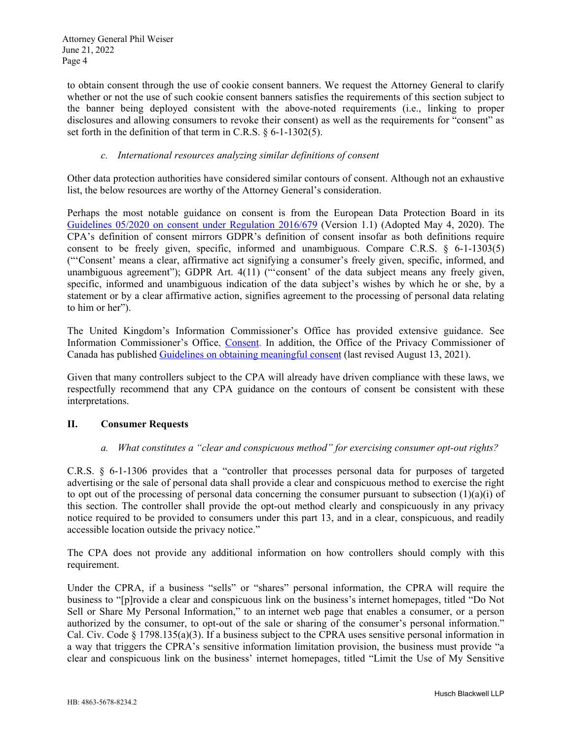to obtain consent through the use of cookie consent banners. We request the Attorney General to clarify whether or not the use of such cookie consent banners satisfies the requirements of this section subject to the banner being deployed consistent with the above-noted requirements (i.e., linking to proper disclosures and allowing consumers to revoke their consent) as well as the requirements for "consent" as set forth in the definition of that term in C.R.S. § 6-1-1302(5).

## *c. International resources analyzing similar definitions of consent*

Other data protection authorities have considered similar contours of consent. Although not an exhaustive list, the below resources are worthy of the Attorney General's consideration.

Perhaps the most notable guidance on consent is from the European Data Protection Board in its Guidelines 05/2020 on consent under Regulation 2016/679 (Version 1.1) (Adopted May 4, 2020). The CPA's definition of consent mirrors GDPR's definition of consent insofar as both definitions require consent to be freely given, specific, informed and unambiguous. Compare C.R.S. § 6-1-1303(5) ("'Consent' means a clear, affirmative act signifying a consumer's freely given, specific, informed, and unambiguous agreement"); GDPR Art. 4(11) ("'consent' of the data subject means any freely given, specific, informed and unambiguous indication of the data subject's wishes by which he or she, by a statement or by a clear affirmative action, signifies agreement to the processing of personal data relating to him or her").

The United Kingdom's Information Commissioner's Office has provided extensive guidance. See Information Commissioner's Office, Consent. In addition, the Office of the Privacy Commissioner of Canada has published Guidelines on obtaining meaningful consent (last revised August 13, 2021).

Given that many controllers subject to the CPA will already have driven compliance with these laws, we respectfully recommend that any CPA guidance on the contours of consent be consistent with these interpretations.

### **II. Consumer Requests**

### *a. What constitutes a "clear and conspicuous method" for exercising consumer opt-out rights?*

C.R.S. § 6-1-1306 provides that a "controller that processes personal data for purposes of targeted advertising or the sale of personal data shall provide a clear and conspicuous method to exercise the right to opt out of the processing of personal data concerning the consumer pursuant to subsection  $(1)(a)(i)$  of this section. The controller shall provide the opt-out method clearly and conspicuously in any privacy notice required to be provided to consumers under this part 13, and in a clear, conspicuous, and readily accessible location outside the privacy notice."

The CPA does not provide any additional information on how controllers should comply with this requirement.

Under the CPRA, if a business "sells" or "shares" personal information, the CPRA will require the business to "[p]rovide a clear and conspicuous link on the business's internet homepages, titled "Do Not Sell or Share My Personal Information," to an internet web page that enables a consumer, or a person authorized by the consumer, to opt-out of the sale or sharing of the consumer's personal information." Cal. Civ. Code § 1798.135(a)(3). If a business subject to the CPRA uses sensitive personal information in a way that triggers the CPRA's sensitive information limitation provision, the business must provide "a clear and conspicuous link on the business' internet homepages, titled "Limit the Use of My Sensitive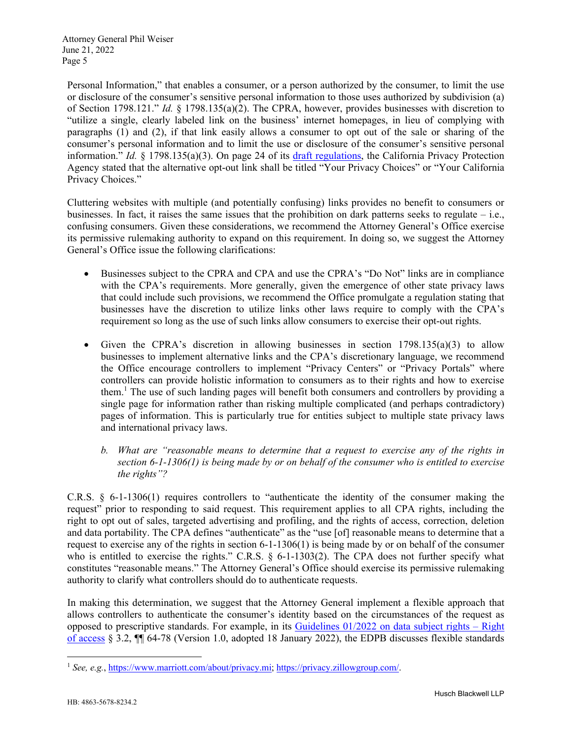Personal Information," that enables a consumer, or a person authorized by the consumer, to limit the use or disclosure of the consumer's sensitive personal information to those uses authorized by subdivision (a) of Section 1798.121." *Id.* § 1798.135(a)(2). The CPRA, however, provides businesses with discretion to "utilize a single, clearly labeled link on the business' internet homepages, in lieu of complying with paragraphs (1) and (2), if that link easily allows a consumer to opt out of the sale or sharing of the consumer's personal information and to limit the use or disclosure of the consumer's sensitive personal information." *Id.* § 1798.135(a)(3). On page 24 of its draft regulations, the California Privacy Protection Agency stated that the alternative opt-out link shall be titled "Your Privacy Choices" or "Your California Privacy Choices."

Cluttering websites with multiple (and potentially confusing) links provides no benefit to consumers or businesses. In fact, it raises the same issues that the prohibition on dark patterns seeks to regulate – i.e., confusing consumers. Given these considerations, we recommend the Attorney General's Office exercise its permissive rulemaking authority to expand on this requirement. In doing so, we suggest the Attorney General's Office issue the following clarifications:

- Businesses subject to the CPRA and CPA and use the CPRA's "Do Not" links are in compliance with the CPA's requirements. More generally, given the emergence of other state privacy laws that could include such provisions, we recommend the Office promulgate a regulation stating that businesses have the discretion to utilize links other laws require to comply with the CPA's requirement so long as the use of such links allow consumers to exercise their opt-out rights.
- Given the CPRA's discretion in allowing businesses in section  $1798.135(a)(3)$  to allow businesses to implement alternative links and the CPA's discretionary language, we recommend the Office encourage controllers to implement "Privacy Centers" or "Privacy Portals" where controllers can provide holistic information to consumers as to their rights and how to exercise them.<sup>1</sup> The use of such landing pages will benefit both consumers and controllers by providing a single page for information rather than risking multiple complicated (and perhaps contradictory) pages of information. This is particularly true for entities subject to multiple state privacy laws and international privacy laws.
	- *b. What are "reasonable means to determine that a request to exercise any of the rights in section 6-1-1306(1) is being made by or on behalf of the consumer who is entitled to exercise the rights"?*

C.R.S. § 6-1-1306(1) requires controllers to "authenticate the identity of the consumer making the request" prior to responding to said request. This requirement applies to all CPA rights, including the right to opt out of sales, targeted advertising and profiling, and the rights of access, correction, deletion and data portability. The CPA defines "authenticate" as the "use [of] reasonable means to determine that a request to exercise any of the rights in section 6-1-1306(1) is being made by or on behalf of the consumer who is entitled to exercise the rights." C.R.S. § 6-1-1303(2). The CPA does not further specify what constitutes "reasonable means." The Attorney General's Office should exercise its permissive rulemaking authority to clarify what controllers should do to authenticate requests.

In making this determination, we suggest that the Attorney General implement a flexible approach that allows controllers to authenticate the consumer's identity based on the circumstances of the request as opposed to prescriptive standards. For example, in its Guidelines 01/2022 on data subject rights – Right of access § 3.2, ¶¶ 64-78 (Version 1.0, adopted 18 January 2022), the EDPB discusses flexible standards

<sup>1</sup> *See, e.g.*, https://www.marriott.com/about/privacy.mi; https://privacy.zillowgroup.com/.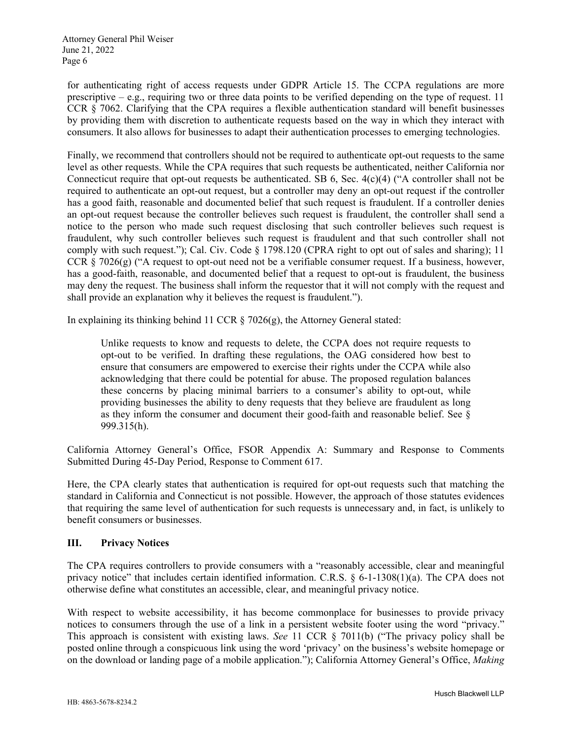for authenticating right of access requests under GDPR Article 15. The CCPA regulations are more prescriptive – e.g., requiring two or three data points to be verified depending on the type of request. 11 CCR § 7062. Clarifying that the CPA requires a flexible authentication standard will benefit businesses by providing them with discretion to authenticate requests based on the way in which they interact with consumers. It also allows for businesses to adapt their authentication processes to emerging technologies.

Finally, we recommend that controllers should not be required to authenticate opt-out requests to the same level as other requests. While the CPA requires that such requests be authenticated, neither California nor Connecticut require that opt-out requests be authenticated. SB 6, Sec.  $4(c)(4)$  ("A controller shall not be required to authenticate an opt-out request, but a controller may deny an opt-out request if the controller has a good faith, reasonable and documented belief that such request is fraudulent. If a controller denies an opt-out request because the controller believes such request is fraudulent, the controller shall send a notice to the person who made such request disclosing that such controller believes such request is fraudulent, why such controller believes such request is fraudulent and that such controller shall not comply with such request."); Cal. Civ. Code  $\S$  1798.120 (CPRA right to opt out of sales and sharing); 11 CCR § 7026(g) ("A request to opt-out need not be a verifiable consumer request. If a business, however, has a good-faith, reasonable, and documented belief that a request to opt-out is fraudulent, the business may deny the request. The business shall inform the requestor that it will not comply with the request and shall provide an explanation why it believes the request is fraudulent.").

In explaining its thinking behind 11 CCR  $\S$  7026(g), the Attorney General stated:

Unlike requests to know and requests to delete, the CCPA does not require requests to opt-out to be verified. In drafting these regulations, the OAG considered how best to ensure that consumers are empowered to exercise their rights under the CCPA while also acknowledging that there could be potential for abuse. The proposed regulation balances these concerns by placing minimal barriers to a consumer's ability to opt-out, while providing businesses the ability to deny requests that they believe are fraudulent as long as they inform the consumer and document their good-faith and reasonable belief. See § 999.315(h).

California Attorney General's Office, FSOR Appendix A: Summary and Response to Comments Submitted During 45-Day Period, Response to Comment 617.

Here, the CPA clearly states that authentication is required for opt-out requests such that matching the standard in California and Connecticut is not possible. However, the approach of those statutes evidences that requiring the same level of authentication for such requests is unnecessary and, in fact, is unlikely to benefit consumers or businesses.

# **III. Privacy Notices**

The CPA requires controllers to provide consumers with a "reasonably accessible, clear and meaningful privacy notice" that includes certain identified information. C.R.S. § 6-1-1308(1)(a). The CPA does not otherwise define what constitutes an accessible, clear, and meaningful privacy notice.

With respect to website accessibility, it has become commonplace for businesses to provide privacy notices to consumers through the use of a link in a persistent website footer using the word "privacy." This approach is consistent with existing laws. *See* 11 CCR § 7011(b) ("The privacy policy shall be posted online through a conspicuous link using the word 'privacy' on the business's website homepage or on the download or landing page of a mobile application."); California Attorney General's Office, *Making*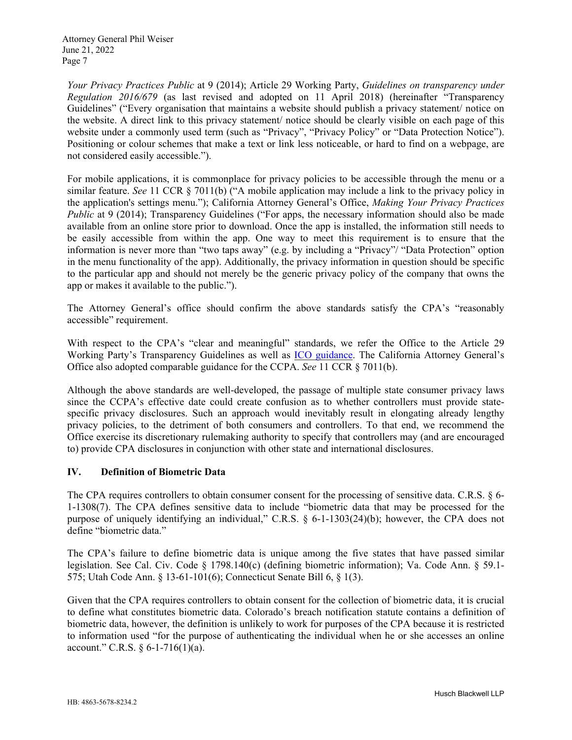*Your Privacy Practices Public* at 9 (2014); Article 29 Working Party, *Guidelines on transparency under Regulation 2016/679* (as last revised and adopted on 11 April 2018) (hereinafter "Transparency Guidelines" ("Every organisation that maintains a website should publish a privacy statement/ notice on the website. A direct link to this privacy statement/ notice should be clearly visible on each page of this website under a commonly used term (such as "Privacy", "Privacy Policy" or "Data Protection Notice"). Positioning or colour schemes that make a text or link less noticeable, or hard to find on a webpage, are not considered easily accessible.").

For mobile applications, it is commonplace for privacy policies to be accessible through the menu or a similar feature. *See* 11 CCR § 7011(b) ("A mobile application may include a link to the privacy policy in the application's settings menu."); California Attorney General's Office, *Making Your Privacy Practices Public* at 9 (2014); Transparency Guidelines ("For apps, the necessary information should also be made available from an online store prior to download. Once the app is installed, the information still needs to be easily accessible from within the app. One way to meet this requirement is to ensure that the information is never more than "two taps away" (e.g. by including a "Privacy"/ "Data Protection" option in the menu functionality of the app). Additionally, the privacy information in question should be specific to the particular app and should not merely be the generic privacy policy of the company that owns the app or makes it available to the public.").

The Attorney General's office should confirm the above standards satisfy the CPA's "reasonably accessible" requirement.

With respect to the CPA's "clear and meaningful" standards, we refer the Office to the Article 29 Working Party's Transparency Guidelines as well as ICO guidance. The California Attorney General's Office also adopted comparable guidance for the CCPA. *See* 11 CCR § 7011(b).

Although the above standards are well-developed, the passage of multiple state consumer privacy laws since the CCPA's effective date could create confusion as to whether controllers must provide statespecific privacy disclosures. Such an approach would inevitably result in elongating already lengthy privacy policies, to the detriment of both consumers and controllers. To that end, we recommend the Office exercise its discretionary rulemaking authority to specify that controllers may (and are encouraged to) provide CPA disclosures in conjunction with other state and international disclosures.

### **IV. Definition of Biometric Data**

The CPA requires controllers to obtain consumer consent for the processing of sensitive data. C.R.S. § 6-1-1308(7). The CPA defines sensitive data to include "biometric data that may be processed for the purpose of uniquely identifying an individual," C.R.S. § 6-1-1303(24)(b); however, the CPA does not define "biometric data."

The CPA's failure to define biometric data is unique among the five states that have passed similar legislation. See Cal. Civ. Code § 1798.140(c) (defining biometric information); Va. Code Ann. § 59.1- 575; Utah Code Ann. § 13-61-101(6); Connecticut Senate Bill 6, § 1(3).

Given that the CPA requires controllers to obtain consent for the collection of biometric data, it is crucial to define what constitutes biometric data. Colorado's breach notification statute contains a definition of biometric data, however, the definition is unlikely to work for purposes of the CPA because it is restricted to information used "for the purpose of authenticating the individual when he or she accesses an online account." C.R.S. § 6-1-716(1)(a).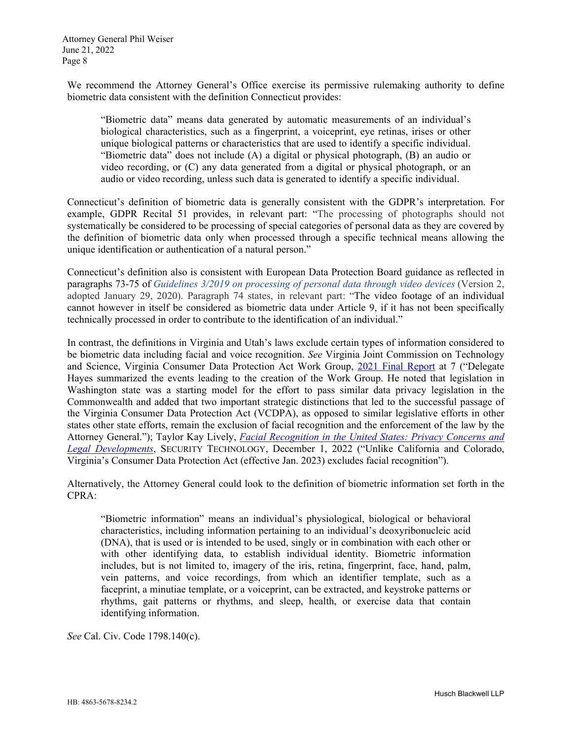We recommend the Attorney General's Office exercise its permissive rulemaking authority to define biometric data consistent with the definition Connecticut provides:

"Biometric data" means data generated by automatic measurements of an individual's biological characteristics, such as a fingerprint, a voiceprint, eye retinas, irises or other unique biological patterns or characteristics that are used to identify a specific individual. "Biometric data" does not include (A) a digital or physical photograph, (B) an audio or video recording, or (C) any data generated from a digital or physical photograph, or an audio or video recording, unless such data is generated to identify a specific individual.

Connecticut's definition of biometric data is generally consistent with the GDPR's interpretation. For example, GDPR Recital 51 provides, in relevant part: "The processing of photographs should not systematically be considered to be processing of special categories of personal data as they are covered by the definition of biometric data only when processed through a specific technical means allowing the unique identification or authentication of a natural person."

Connecticut's definition also is consistent with European Data Protection Board guidance as reflected in paragraphs 73-75 of *Guidelines 3/2019 on processing of personal data through video devices* (Version 2, adopted January 29, 2020). Paragraph 74 states, in relevant part: "The video footage of an individual cannot however in itself be considered as biometric data under Article 9, if it has not been specifically technically processed in order to contribute to the identification of an individual."

In contrast, the definitions in Virginia and Utah's laws exclude certain types of information considered to be biometric data including facial and voice recognition. *See* Virginia Joint Commission on Technology and Science, Virginia Consumer Data Protection Act Work Group, 2021 Final Report at 7 ("Delegate Hayes summarized the events leading to the creation of the Work Group. He noted that legislation in Washington state was a starting model for the effort to pass similar data privacy legislation in the Commonwealth and added that two important strategic distinctions that led to the successful passage of the Virginia Consumer Data Protection Act (VCDPA), as opposed to similar legislative efforts in other states other state efforts, remain the exclusion of facial recognition and the enforcement of the law by the Attorney General."); Taylor Kay Lively, *Facial Recognition in the United States: Privacy Concerns and Legal Developments*, SECURITY TECHNOLOGY, December 1, 2022 ("Unlike California and Colorado, Virginia's Consumer Data Protection Act (effective Jan. 2023) excludes facial recognition").

Alternatively, the Attorney General could look to the definition of biometric information set forth in the CPRA:

"Biometric information" means an individual's physiological, biological or behavioral characteristics, including information pertaining to an individual's deoxyribonucleic acid (DNA), that is used or is intended to be used, singly or in combination with each other or with other identifying data, to establish individual identity. Biometric information includes, but is not limited to, imagery of the iris, retina, fingerprint, face, hand, palm, vein patterns, and voice recordings, from which an identifier template, such as a faceprint, a minutiae template, or a voiceprint, can be extracted, and keystroke patterns or rhythms, gait patterns or rhythms, and sleep, health, or exercise data that contain identifying information.

*See* Cal. Civ. Code 1798.140(c).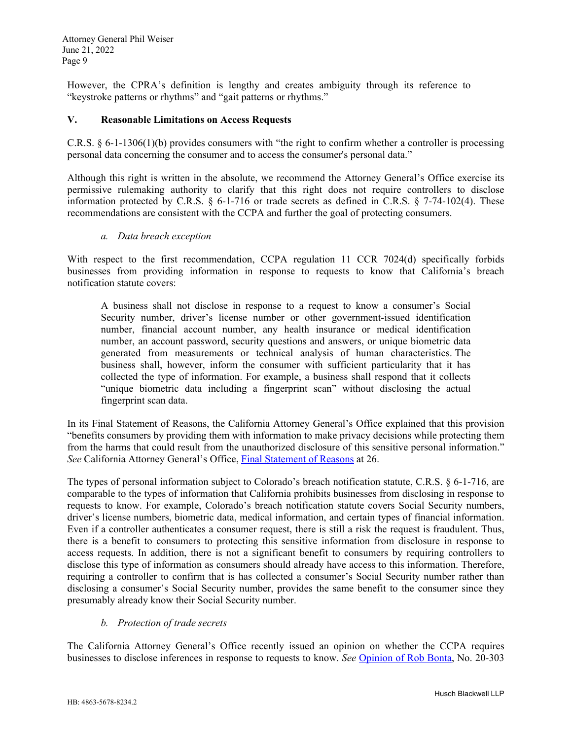However, the CPRA's definition is lengthy and creates ambiguity through its reference to "keystroke patterns or rhythms" and "gait patterns or rhythms."

### **V. Reasonable Limitations on Access Requests**

C.R.S. § 6-1-1306(1)(b) provides consumers with "the right to confirm whether a controller is processing personal data concerning the consumer and to access the consumer's personal data."

Although this right is written in the absolute, we recommend the Attorney General's Office exercise its permissive rulemaking authority to clarify that this right does not require controllers to disclose information protected by C.R.S.  $\S$  6-1-716 or trade secrets as defined in C.R.S.  $\S$  7-74-102(4). These recommendations are consistent with the CCPA and further the goal of protecting consumers.

#### *a. Data breach exception*

With respect to the first recommendation, CCPA regulation 11 CCR 7024(d) specifically forbids businesses from providing information in response to requests to know that California's breach notification statute covers:

A business shall not disclose in response to a request to know a consumer's Social Security number, driver's license number or other government-issued identification number, financial account number, any health insurance or medical identification number, an account password, security questions and answers, or unique biometric data generated from measurements or technical analysis of human characteristics. The business shall, however, inform the consumer with sufficient particularity that it has collected the type of information. For example, a business shall respond that it collects "unique biometric data including a fingerprint scan" without disclosing the actual fingerprint scan data.

In its Final Statement of Reasons, the California Attorney General's Office explained that this provision "benefits consumers by providing them with information to make privacy decisions while protecting them from the harms that could result from the unauthorized disclosure of this sensitive personal information." *See* California Attorney General's Office, Final Statement of Reasons at 26.

The types of personal information subject to Colorado's breach notification statute, C.R.S. § 6-1-716, are comparable to the types of information that California prohibits businesses from disclosing in response to requests to know. For example, Colorado's breach notification statute covers Social Security numbers, driver's license numbers, biometric data, medical information, and certain types of financial information. Even if a controller authenticates a consumer request, there is still a risk the request is fraudulent. Thus, there is a benefit to consumers to protecting this sensitive information from disclosure in response to access requests. In addition, there is not a significant benefit to consumers by requiring controllers to disclose this type of information as consumers should already have access to this information. Therefore, requiring a controller to confirm that is has collected a consumer's Social Security number rather than disclosing a consumer's Social Security number, provides the same benefit to the consumer since they presumably already know their Social Security number.

### *b. Protection of trade secrets*

The California Attorney General's Office recently issued an opinion on whether the CCPA requires businesses to disclose inferences in response to requests to know. *See* Opinion of Rob Bonta, No. 20-303